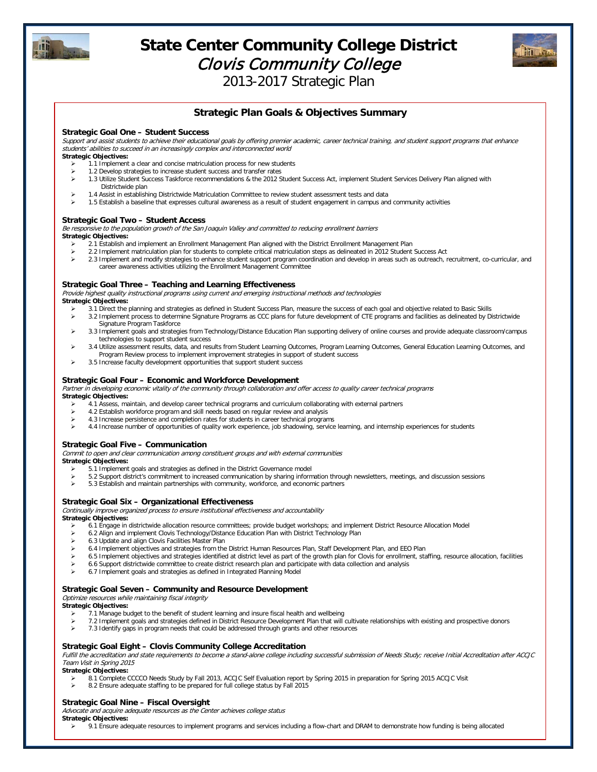

# **State Center Community College District**  Clovis Community College



2013-2017 Strategic Plan

# **Strategic Plan Goals & Objectives Summary**

#### **Strategic Goal One – Student Success**

Support and assist students to achieve their educational goals by offering premier academic, career technical training, and student support programs that enhance students' abilities to succeed in an increasingly complex and interconnected world

# **Strategic Objectives:**

- $\ge$  1.1 Implement a clear and concise matriculation process for new students<br> $\ge$  1.2 Develop strategies to increase student success and transfer rates
- 1.2 Develop strategies to increase student success and transfer rates ▶ 1.3 Utilize Student Success Taskforce recommendations & the 2012 Student Success Act, implement Student Services Delivery Plan aligned with
- Districtwide plan 1.4 Assist in establishing Districtwide Matriculation Committee to review student assessment tests and data
- > 1.5 Establish a baseline that expresses cultural awareness as a result of student engagement in campus and community activities

#### **Strategic Goal Two – Student Access**

Be responsive to the population growth of the San Joaquin Valley and committed to reducing enrollment barriers **Strategic Objectives:** 

- 2.1 Establish and implement an Enrollment Management Plan aligned with the District Enrollment Management Plan
- 2.2 Implement matriculation plan for students to complete critical matriculation steps as delineated in 2012 Student Success Act
- > 2.3 Implement and modify strategies to enhance student support program coordination and develop in areas such as outreach, recruitment, co-curricular, and career awareness activities utilizing the Enrollment Management Committee

#### **Strategic Goal Three – Teaching and Learning Effectiveness**

Provide highest quality instructional programs using current and emerging instructional methods and technologies **Strategic Objectives:** 

- 3.1 Direct the planning and strategies as defined in Student Success Plan, measure the success of each goal and objective related to Basic Skills > 3.2 Implement process to determine Signature Programs as CCC plans for future development of CTE programs and facilities as delineated by Districtwide
- Signature Program Taskforce > 3.3 Implement goals and strategies from Technology/Distance Education Plan supporting delivery of online courses and provide adequate classroom/campus
- technologies to support student success > 3.4 Utilize assessment results, data, and results from Student Learning Outcomes, Program Learning Outcomes, General Education Learning Outcomes, and Program Review process to implement improvement strategies in support of student success
- $\geq$  3.5 Increase faculty development opportunities that support student success

# **Strategic Goal Four – Economic and Workforce Development**

Partner in developing economic vitality of the community through collaboration and offer access to quality career technical programs

**Strategic Objectives:** 

- $\triangleright$  4.1 Assess, maintain, and develop career technical programs and curriculum collaborating with external partners <br>4.2 Establish workforce program and skill needs based on regular review and analysis
- 4.2 Establish workforce program and skill needs based on regular review and analysis
- $\geq$  4.3 Increase persistence and completion rates for students in career technical programs<br> $\geq$  4.4 Increase number of opportunities of quality work experience, iob shadowing, service
- 4.4 Increase number of opportunities of quality work experience, job shadowing, service learning, and internship experiences for students

#### **Strategic Goal Five – Communication**

Commit to open and clear communication among constituent groups and with external communities

**Strategic Objectives:** 

- $\geq$  5.1 Implement goals and strategies as defined in the District Governance model
- 5.2 Support district's commitment to increased communication by sharing information through newsletters, meetings, and discussion sessions > 5.3 Fstablish and maintain partnerships with community workforce and economic pa
- 5.3 Establish and maintain partnerships with community, workforce, and economic partners

#### **Strategic Goal Six – Organizational Effectiveness**

Continually improve organized process to ensure institutional effectiveness and accountability

**Strategic Objectives:** 

- 6.1 Engage in districtwide allocation resource committees; provide budget workshops; and implement District Resource Allocation Model
- 6.2 Align and implement Clovis Technology/Distance Education Plan with District Technology Plan
- 6.3 Update and align Clovis Facilities Master Plan
- 6.4 Implement objectives and strategies from the District Human Resources Plan, Staff Development Plan, and EEO Plan<br>6.5 Implement objectives and strategies identified at district level as part of the growth plan for Clov
- 6.5 Implement objectives and strategies identified at district level as part of the growth plan for Clovis for enrollment, staffing, resource allocation, facilities
- 6.6 Support districtwide committee to create district research plan and participate with data collection and analysis
- 6.7 Implement goals and strategies as defined in Integrated Planning Model

#### **Strategic Goal Seven – Community and Resource Development**

Optimize resources while maintaining fiscal integrity

**Strategic Objectives:** 

- $>$  7.1 Manage budget to the benefit of student learning and insure fiscal health and wellbeing
- > 7.2 Implement goals and strategies defined in District Resource Development Plan that will cultivate relationships with existing and prospective donors
- 7.3 Identify gaps in program needs that could be addressed through grants and other resources

#### **Strategic Goal Eight – Clovis Community College Accreditation**

Fulfill the accreditation and state requirements to become a stand-alone college including successful submission of Needs Study; receive Initial Accreditation after ACCJC Team Visit in Spring 2015

**Strategic Objectives:** 

- 8.1 Complete CCCCO Needs Study by Fall 2013, ACCJC Self Evaluation report by Spring 2015 in preparation for Spring 2015 ACCJC Visit
- 8.2 Ensure adequate staffing to be prepared for full college status by Fall 2015

#### **Strategic Goal Nine – Fiscal Oversight**

Advocate and acquire adequate resources as the Center achieves college status **Strategic Objectives:** 

→ 9.1 Ensure adequate resources to implement programs and services including a flow-chart and DRAM to demonstrate how funding is being allocated